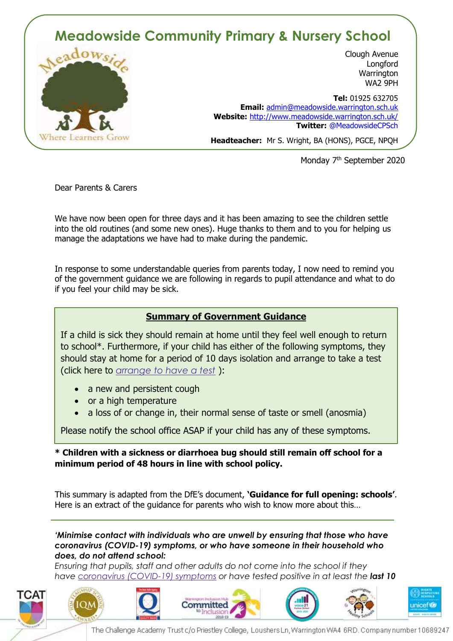## **Meadowside Community Primary & Nursery School**



Clough Avenue **Longford Warrington** WA2 9PH

 **Tel:** 01925 632705 **Email:** [admin@meadowside.warrington.sch.uk](mailto:admin@meadowside.warrington.sch.uk) **Website:** <http://www.meadowside.warrington.sch.uk/> **Twitter:** @MeadowsideCPSch

**Headteacher:** Mr S. Wright, BA (HONS), PGCE, NPQH

Monday 7<sup>th</sup> September 2020

Dear Parents & Carers

We have now been open for three days and it has been amazing to see the children settle into the old routines (and some new ones). Huge thanks to them and to you for helping us manage the adaptations we have had to make during the pandemic.

In response to some understandable queries from parents today, I now need to remind you of the government guidance we are following in regards to pupil attendance and what to do if you feel your child may be sick.

## **Summary of Government Guidance**

If a child is sick they should remain at home until they feel well enough to return to school\*. Furthermore, if your child has either of the following symptoms, they should stay at home for a period of 10 days isolation and arrange to take a test (click here to *[arrange](https://www.gov.uk/guidance/coronavirus-covid-19-getting-tested) to have a test* ):

- a new and persistent cough
- or a high temperature
- a loss of or change in, their normal sense of taste or smell (anosmia)

Please notify the school office ASAP if your child has any of these symptoms.

**\* Children with a sickness or diarrhoea bug should still remain off school for a minimum period of 48 hours in line with school policy.** 

This summary is adapted from the DfE's document, **'Guidance for full opening: schools'**. Here is an extract of the guidance for parents who wish to know more about this…

*'Minimise contact with individuals who are unwell by ensuring that those who have coronavirus (COVID-19) symptoms, or who have someone in their household who does, do not attend school:*

*Ensuring that pupils, staff and other adults do not come into the school if they have [coronavirus](https://www.gov.uk/guidance/nhs-test-and-trace-how-it-works#people-who-develop-symptoms-of-coronavirus) (COVID-19) symptoms or have tested positive in at least the last 10* 

The Challenge Academy Trust c/o Priestley College, Loushers Ln, Warrington WA4 6RD. Company number 10689247